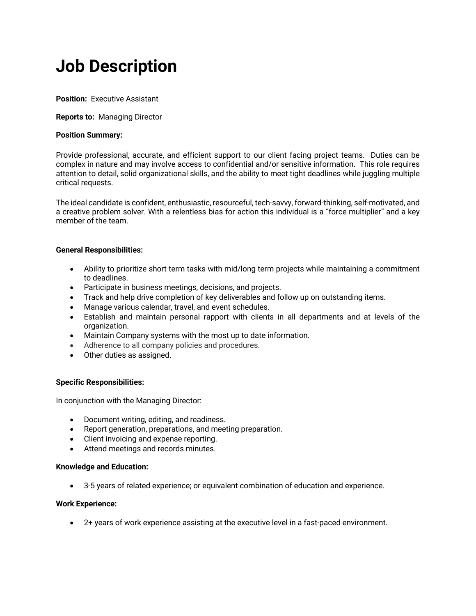# **Job Description**

**Position:** Executive Assistant

## **Reports to:** Managing Director

## **Position Summary:**

Provide professional, accurate, and efficient support to our client facing project teams. Duties can be complex in nature and may involve access to confidential and/or sensitive information. This role requires attention to detail, solid organizational skills, and the ability to meet tight deadlines while juggling multiple critical requests.

The ideal candidate is confident, enthusiastic, resourceful, tech-savvy, forward-thinking, self-motivated, and a creative problem solver. With a relentless bias for action this individual is a "force multiplier" and a key member of the team.

## **General Responsibilities:**

- Ability to prioritize short term tasks with mid/long term projects while maintaining a commitment to deadlines.
- Participate in business meetings, decisions, and projects.
- Track and help drive completion of key deliverables and follow up on outstanding items.
- Manage various calendar, travel, and event schedules.
- Establish and maintain personal rapport with clients in all departments and at levels of the organization.
- Maintain Company systems with the most up to date information.
- Adherence to all company policies and procedures.
- Other duties as assigned.

## **Specific Responsibilities:**

In conjunction with the Managing Director:

- Document writing, editing, and readiness.
- Report generation, preparations, and meeting preparation.
- Client invoicing and expense reporting.
- Attend meetings and records minutes.

## **Knowledge and Education:**

• 3-5 years of related experience; or equivalent combination of education and experience.

## **Work Experience:**

• 2+ years of work experience assisting at the executive level in a fast-paced environment.